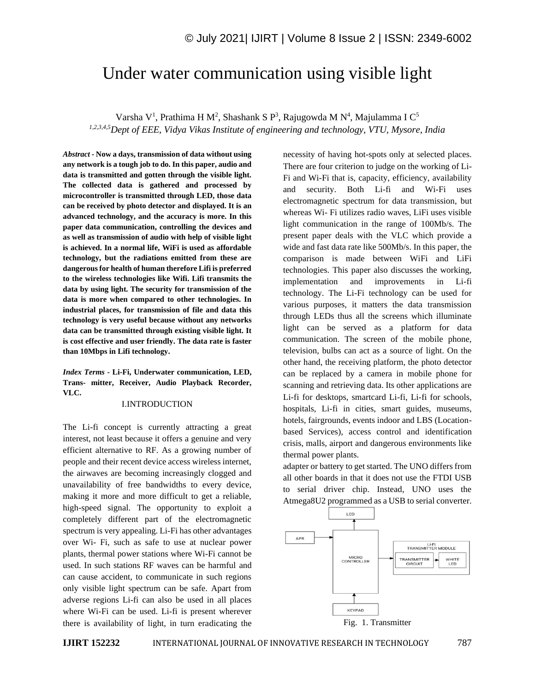# Under water communication using visible light

Varsha V<sup>1</sup>, Prathima H M<sup>2</sup>, Shashank S P<sup>3</sup>, Rajugowda M N<sup>4</sup>, Majulamma I C<sup>5</sup> *1,2,3,4,5Dept of EEE, Vidya Vikas Institute of engineering and technology, VTU, Mysore, India* 

*Abstract -* **Now a days, transmission of data without using any network is a tough job to do. In this paper, audio and data is transmitted and gotten through the visible light. The collected data is gathered and processed by microcontroller is transmitted through LED, those data can be received by photo detector and displayed. It is an advanced technology, and the accuracy is more. In this paper data communication, controlling the devices and as well as transmission of audio with help of visible light is achieved. In a normal life, WiFi is used as affordable technology, but the radiations emitted from these are dangerous for health of human therefore Lifi is preferred to the wireless technologies like Wifi. Lifi transmits the data by using light. The security for transmission of the data is more when compared to other technologies. In industrial places, for transmission of file and data this technology is very useful because without any networks data can be transmitted through existing visible light. It is cost effective and user friendly. The data rate is faster than 10Mbps in Lifi technology.**

*Index Terms -* **Li-Fi, Underwater communication, LED, Trans- mitter, Receiver, Audio Playback Recorder, VLC.**

## I.INTRODUCTION

The Li-fi concept is currently attracting a great interest, not least because it offers a genuine and very efficient alternative to RF. As a growing number of people and their recent device access wireless internet, the airwaves are becoming increasingly clogged and unavailability of free bandwidths to every device, making it more and more difficult to get a reliable, high-speed signal. The opportunity to exploit a completely different part of the electromagnetic spectrum is very appealing. Li-Fi has other advantages over Wi- Fi, such as safe to use at nuclear power plants, thermal power stations where Wi-Fi cannot be used. In such stations RF waves can be harmful and can cause accident, to communicate in such regions only visible light spectrum can be safe. Apart from adverse regions Li-fi can also be used in all places where Wi-Fi can be used. Li-fi is present wherever there is availability of light, in turn eradicating the necessity of having hot-spots only at selected places. There are four criterion to judge on the working of Li-Fi and Wi-Fi that is, capacity, efficiency, availability and security. Both Li-fi and Wi-Fi uses electromagnetic spectrum for data transmission, but whereas Wi- Fi utilizes radio waves, LiFi uses visible light communication in the range of 100Mb/s. The present paper deals with the VLC which provide a wide and fast data rate like 500Mb/s. In this paper, the comparison is made between WiFi and LiFi technologies. This paper also discusses the working, implementation and improvements in Li-fi technology. The Li-Fi technology can be used for various purposes, it matters the data transmission through LEDs thus all the screens which illuminate light can be served as a platform for data communication. The screen of the mobile phone, television, bulbs can act as a source of light. On the other hand, the receiving platform, the photo detector can be replaced by a camera in mobile phone for scanning and retrieving data. Its other applications are Li-fi for desktops, smartcard Li-fi, Li-fi for schools, hospitals, Li-fi in cities, smart guides, museums, hotels, fairgrounds, events indoor and LBS (Locationbased Services), access control and identification crisis, malls, airport and dangerous environments like thermal power plants.

adapter or battery to get started. The UNO differs from all other boards in that it does not use the FTDI USB to serial driver chip. Instead, UNO uses the Atmega8U2 programmed as a USB to serial converter.

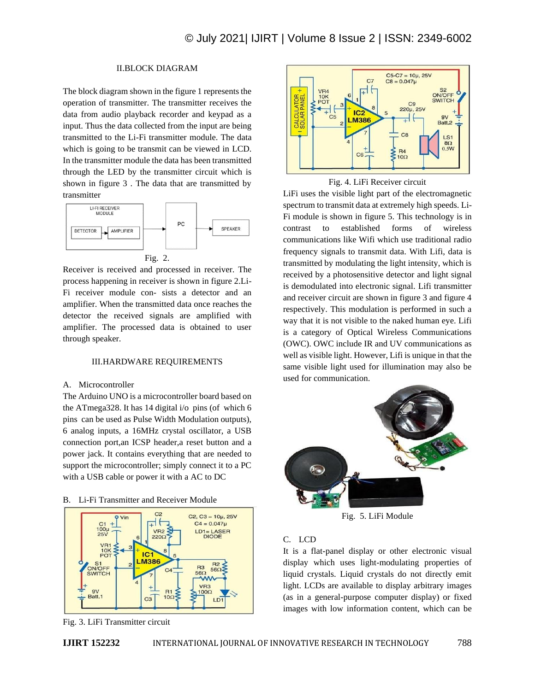# II.BLOCK DIAGRAM

The block diagram shown in the figure 1 represents the operation of transmitter. The transmitter receives the data from audio playback recorder and keypad as a input. Thus the data collected from the input are being transmitted to the Li-Fi transmitter module. The data which is going to be transmit can be viewed in LCD. In the transmitter module the data has been transmitted through the LED by the transmitter circuit which is shown in figure 3 . The data that are transmitted by transmitter



Receiver is received and processed in receiver. The process happening in receiver is shown in figure 2.Li-Fi receiver module con- sists a detector and an amplifier. When the transmitted data once reaches the detector the received signals are amplified with amplifier. The processed data is obtained to user through speaker.

#### III.HARDWARE REQUIREMENTS

#### A. Microcontroller

The Arduino UNO is a microcontroller board based on the ATmega328. It has 14 digital i/o pins (of which 6 pins can be used as Pulse Width Modulation outputs), 6 analog inputs, a 16MHz crystal oscillator, a USB connection port,an ICSP header,a reset button and a power jack. It contains everything that are needed to support the microcontroller; simply connect it to a PC with a USB cable or power it with a AC to DC





Fig. 3. LiFi Transmitter circuit



Fig. 4. LiFi Receiver circuit

LiFi uses the visible light part of the electromagnetic spectrum to transmit data at extremely high speeds. Li-Fi module is shown in figure 5. This technology is in contrast to established forms of wireless communications like Wifi which use traditional radio frequency signals to transmit data. With Lifi, data is transmitted by modulating the light intensity, which is received by a photosensitive detector and light signal is demodulated into electronic signal. Lifi transmitter and receiver circuit are shown in figure 3 and figure 4 respectively. This modulation is performed in such a way that it is not visible to the naked human eye. Lifi is a category of Optical Wireless Communications (OWC). OWC include IR and UV communications as well as visible light. However, Lifi is unique in that the same visible light used for illumination may also be used for communication.



Fig. 5. LiFi Module

# C. LCD

It is a flat-panel display or other electronic visual display which uses light-modulating properties of liquid crystals. Liquid crystals do not directly emit light. LCDs are available to display arbitrary images (as in a general-purpose computer display) or fixed images with low information content, which can be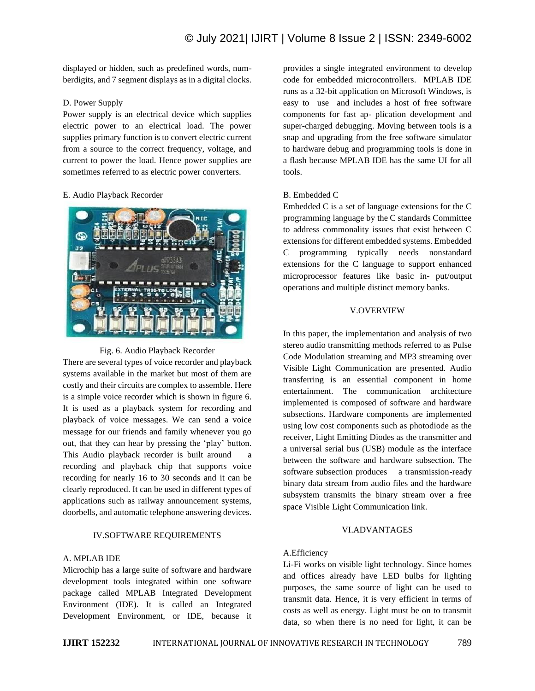displayed or hidden, such as predefined words, numberdigits, and 7 segment displays as in a digital clocks.

## D. Power Supply

Power supply is an electrical device which supplies electric power to an electrical load. The power supplies primary function is to convert electric current from a source to the correct frequency, voltage, and current to power the load. Hence power supplies are sometimes referred to as electric power converters.

## E. Audio Playback Recorder



Fig. 6. Audio Playback Recorder

There are several types of voice recorder and playback systems available in the market but most of them are costly and their circuits are complex to assemble. Here is a simple voice recorder which is shown in figure 6. It is used as a playback system for recording and playback of voice messages. We can send a voice message for our friends and family whenever you go out, that they can hear by pressing the 'play' button. This Audio playback recorder is built around a recording and playback chip that supports voice recording for nearly 16 to 30 seconds and it can be clearly reproduced. It can be used in different types of applications such as railway announcement systems, doorbells, and automatic telephone answering devices.

## IV.SOFTWARE REQUIREMENTS

## A. MPLAB IDE

Microchip has a large suite of software and hardware development tools integrated within one software package called MPLAB Integrated Development Environment (IDE). It is called an Integrated Development Environment, or IDE, because it provides a single integrated environment to develop code for embedded microcontrollers. MPLAB IDE runs as a 32-bit application on Microsoft Windows, is easy to use and includes a host of free software components for fast ap- plication development and super-charged debugging. Moving between tools is a snap and upgrading from the free software simulator to hardware debug and programming tools is done in a flash because MPLAB IDE has the same UI for all tools.

## B. Embedded C

Embedded C is a set of language extensions for the C programming language by the C standards Committee to address commonality issues that exist between C extensions for different embedded systems. Embedded C programming typically needs nonstandard extensions for the C language to support enhanced microprocessor features like basic in- put/output operations and multiple distinct memory banks.

#### V.OVERVIEW

In this paper, the implementation and analysis of two stereo audio transmitting methods referred to as Pulse Code Modulation streaming and MP3 streaming over Visible Light Communication are presented. Audio transferring is an essential component in home entertainment. The communication architecture implemented is composed of software and hardware subsections. Hardware components are implemented using low cost components such as photodiode as the receiver, Light Emitting Diodes as the transmitter and a universal serial bus (USB) module as the interface between the software and hardware subsection. The software subsection produces a transmission-ready binary data stream from audio files and the hardware subsystem transmits the binary stream over a free space Visible Light Communication link.

### VI.ADVANTAGES

### A.Efficiency

Li-Fi works on visible light technology. Since homes and offices already have LED bulbs for lighting purposes, the same source of light can be used to transmit data. Hence, it is very efficient in terms of costs as well as energy. Light must be on to transmit data, so when there is no need for light, it can be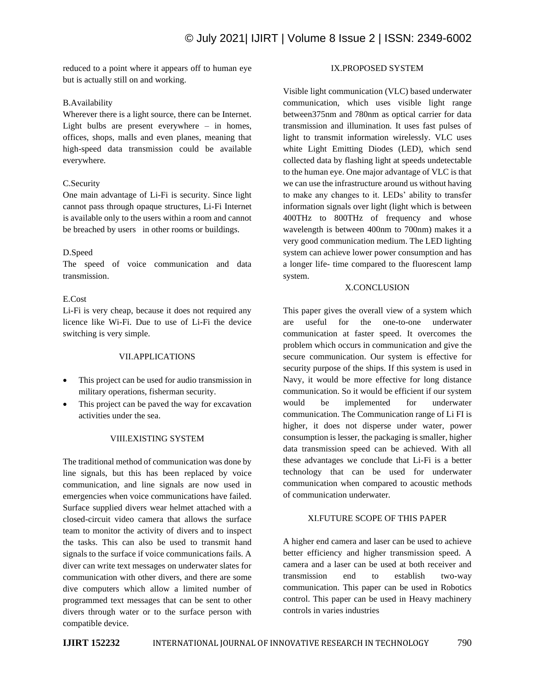reduced to a point where it appears off to human eye but is actually still on and working.

## B.Availability

Wherever there is a light source, there can be Internet. Light bulbs are present everywhere – in homes, offices, shops, malls and even planes, meaning that high-speed data transmission could be available everywhere.

## C.Security

One main advantage of Li-Fi is security. Since light cannot pass through opaque structures, Li-Fi Internet is available only to the users within a room and cannot be breached by users in other rooms or buildings.

## D.Speed

The speed of voice communication and data transmission.

## E.Cost

Li-Fi is very cheap, because it does not required any licence like Wi-Fi. Due to use of Li-Fi the device switching is very simple.

## VII.APPLICATIONS

- This project can be used for audio transmission in military operations, fisherman security.
- This project can be paved the way for excavation activities under the sea.

## VIII.EXISTING SYSTEM

The traditional method of communication was done by line signals, but this has been replaced by voice communication, and line signals are now used in emergencies when voice communications have failed. Surface supplied divers wear helmet attached with a closed-circuit video camera that allows the surface team to monitor the activity of divers and to inspect the tasks. This can also be used to transmit hand signals to the surface if voice communications fails. A diver can write text messages on underwater slates for communication with other divers, and there are some dive computers which allow a limited number of programmed text messages that can be sent to other divers through water or to the surface person with compatible device.

## IX.PROPOSED SYSTEM

Visible light communication (VLC) based underwater communication, which uses visible light range between375nm and 780nm as optical carrier for data transmission and illumination. It uses fast pulses of light to transmit information wirelessly. VLC uses white Light Emitting Diodes (LED), which send collected data by flashing light at speeds undetectable to the human eye. One major advantage of VLC is that we can use the infrastructure around us without having to make any changes to it. LEDs' ability to transfer information signals over light (light which is between 400THz to 800THz of frequency and whose wavelength is between 400nm to 700nm) makes it a very good communication medium. The LED lighting system can achieve lower power consumption and has a longer life- time compared to the fluorescent lamp system.

### X.CONCLUSION

This paper gives the overall view of a system which are useful for the one-to-one underwater communication at faster speed. It overcomes the problem which occurs in communication and give the secure communication. Our system is effective for security purpose of the ships. If this system is used in Navy, it would be more effective for long distance communication. So it would be efficient if our system would be implemented for underwater communication. The Communication range of Li FI is higher, it does not disperse under water, power consumption is lesser, the packaging is smaller, higher data transmission speed can be achieved. With all these advantages we conclude that Li-Fi is a better technology that can be used for underwater communication when compared to acoustic methods of communication underwater.

## XI.FUTURE SCOPE OF THIS PAPER

A higher end camera and laser can be used to achieve better efficiency and higher transmission speed. A camera and a laser can be used at both receiver and transmission end to establish two-way communication. This paper can be used in Robotics control. This paper can be used in Heavy machinery controls in varies industries